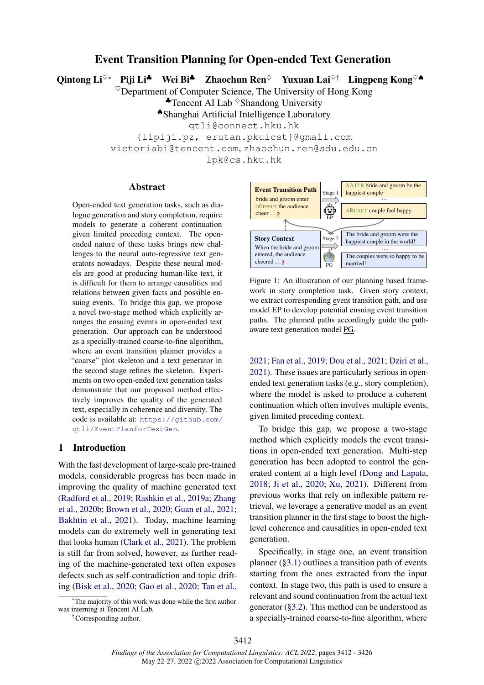# Event Transition Planning for Open-ended Text Generation

<span id="page-0-0"></span>Qintong Li<sup>♡∗</sup> Piji Li<sup>♣</sup> Wei Bi<sup>♣</sup> Zhaochun Ren<sup>◇</sup> Yuxuan Lai<sup>♡†</sup> Lingpeng Kong<sup>♡</sub>♪</sup>

 $\heartsuit$ Department of Computer Science, The University of Hong Kong

 $\triangle$ Tencent AI Lab  $\Diamond$ Shandong University

♠Shanghai Artificial Intelligence Laboratory

qtli@connect.hku.hk

{lipiji.pz, erutan.pkuicst}@gmail.com

victoriabi@tencent.com, zhaochun.ren@sdu.edu.cn

lpk@cs.hku.hk

#### Abstract

Open-ended text generation tasks, such as dialogue generation and story completion, require models to generate a coherent continuation given limited preceding context. The openended nature of these tasks brings new challenges to the neural auto-regressive text generators nowadays. Despite these neural models are good at producing human-like text, it is difficult for them to arrange causalities and relations between given facts and possible ensuing events. To bridge this gap, we propose a novel two-stage method which explicitly arranges the ensuing events in open-ended text generation. Our approach can be understood as a specially-trained coarse-to-fine algorithm, where an event transition planner provides a "coarse" plot skeleton and a text generator in the second stage refines the skeleton. Experiments on two open-ended text generation tasks demonstrate that our proposed method effectively improves the quality of the generated text, especially in coherence and diversity. The code is available at: [https://github.com/](https://github.com/qtli/EventPlanforTextGen) [qtli/EventPlanforTextGen](https://github.com/qtli/EventPlanforTextGen).

#### 1 Introduction

With the fast development of large-scale pre-trained models, considerable progress has been made in improving the quality of machine generated text [\(Radford et al.,](#page-11-0) [2019;](#page-11-0) [Rashkin et al.,](#page-11-1) [2019a;](#page-11-1) [Zhang](#page-12-0) [et al.,](#page-12-0) [2020b;](#page-12-0) [Brown et al.,](#page-9-0) [2020;](#page-9-0) [Guan et al.,](#page-10-0) [2021;](#page-10-0) [Bakhtin et al.,](#page-8-0) [2021\)](#page-8-0). Today, machine learning models can do extremely well in generating text that looks human [\(Clark et al.,](#page-9-1) [2021\)](#page-9-1). The problem is still far from solved, however, as further reading of the machine-generated text often exposes defects such as self-contradiction and topic drifting [\(Bisk et al.,](#page-8-1) [2020;](#page-8-1) [Gao et al.,](#page-9-2) [2020;](#page-9-2) [Tan et al.,](#page-11-2)

†Corresponding author.

<span id="page-0-1"></span>

Figure 1: An illustration of our planning based framework in story completion task. Given story context, we extract corresponding event transition path, and use model EP to develop potential ensuing event transition paths. The planned paths accordingly guide the pathaware text generation model PG.

[2021;](#page-11-2) [Fan et al.,](#page-9-3) [2019;](#page-9-3) [Dou et al.,](#page-9-4) [2021;](#page-9-4) [Dziri et al.,](#page-9-5) [2021\)](#page-9-5). These issues are particularly serious in openended text generation tasks (e.g., story completion), where the model is asked to produce a coherent continuation which often involves multiple events, given limited preceding context.

To bridge this gap, we propose a two-stage method which explicitly models the event transitions in open-ended text generation. Multi-step generation has been adopted to control the generated content at a high level [\(Dong and Lapata,](#page-9-6) [2018;](#page-9-6) [Ji et al.,](#page-10-1) [2020;](#page-10-1) [Xu,](#page-12-1) [2021\)](#page-12-1). Different from previous works that rely on inflexible pattern retrieval, we leverage a generative model as an event transition planner in the first stage to boost the highlevel coherence and causalities in open-ended text generation.

Specifically, in stage one, an event transition planner ([§3.1\)](#page-2-0) outlines a transition path of events starting from the ones extracted from the input context. In stage two, this path is used to ensure a relevant and sound continuation from the actual text generator ([§3.2\)](#page-3-0). This method can be understood as a specially-trained coarse-to-fine algorithm, where

<sup>∗</sup>The majority of this work was done while the first author was interning at Tencent AI Lab.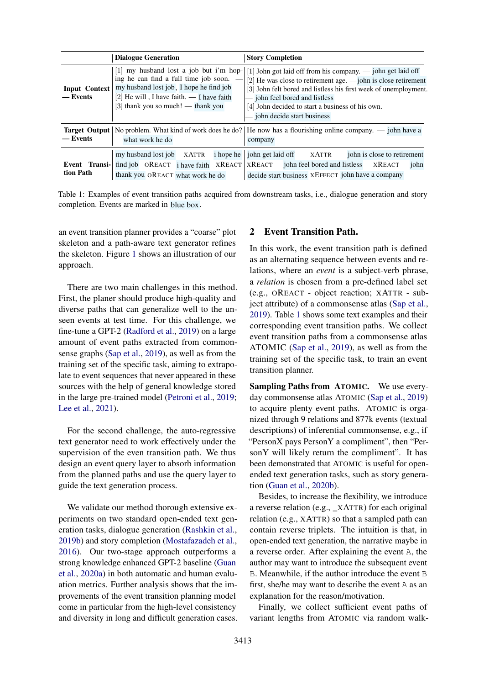<span id="page-1-0"></span>

|                                  | <b>Dialogue Generation</b>                                                                                                                                                                                                              | <b>Story Completion</b>                                                                                                                                                                                                                                                                                                   |  |  |  |
|----------------------------------|-----------------------------------------------------------------------------------------------------------------------------------------------------------------------------------------------------------------------------------------|---------------------------------------------------------------------------------------------------------------------------------------------------------------------------------------------------------------------------------------------------------------------------------------------------------------------------|--|--|--|
| <b>Input Context</b><br>— Events | my husband lost a job but i'm hop-<br>Ш<br>ing he can find a full time job soon.<br>my husband lost job, I hope he find job<br>[2] He will, I have faith. $\overline{\phantom{a}}$ I have faith<br>$[3]$ thank you so much! — thank you | [1] John got laid off from his company. — john get laid off<br>[2] He was close to retirement age. $-$ john is close retirement<br>[3] John felt bored and listless his first week of unemployment.<br>- john feel bored and listless<br>[4] John decided to start a business of his own.<br>- john decide start business |  |  |  |
| — Events                         | what work he do                                                                                                                                                                                                                         | <b>Target Output</b>   No problem. What kind of work does he do?   He now has a flourishing online company. $\frac{1}{2}$ john have a<br>company                                                                                                                                                                          |  |  |  |
| Event Transi-<br>tion Path       | <i>i</i> hope he<br>my husband lost job<br>XATTR<br>find job $OREACT$ i have faith $XREACT$   $XREACT$<br>thank you OREACT what work he do                                                                                              | john is close to retirement<br>john get laid off<br><b>XATTR</b><br>john feel bored and listless<br>john<br><b>XREACT</b><br>decide start business XEFFECT john have a company                                                                                                                                            |  |  |  |

Table 1: Examples of event transition paths acquired from downstream tasks, i.e., dialogue generation and story completion. Events are marked in blue box.

an event transition planner provides a "coarse" plot skeleton and a path-aware text generator refines the skeleton. Figure [1](#page-0-1) shows an illustration of our approach.

There are two main challenges in this method. First, the planer should produce high-quality and diverse paths that can generalize well to the unseen events at test time. For this challenge, we fine-tune a GPT-2 [\(Radford et al.,](#page-11-0) [2019\)](#page-11-0) on a large amount of event paths extracted from commonsense graphs [\(Sap et al.,](#page-11-3) [2019\)](#page-11-3), as well as from the training set of the specific task, aiming to extrapolate to event sequences that never appeared in these sources with the help of general knowledge stored in the large pre-trained model [\(Petroni et al.,](#page-11-4) [2019;](#page-11-4) [Lee et al.,](#page-10-2) [2021\)](#page-10-2).

For the second challenge, the auto-regressive text generator need to work effectively under the supervision of the even transition path. We thus design an event query layer to absorb information from the planned paths and use the query layer to guide the text generation process.

We validate our method thorough extensive experiments on two standard open-ended text generation tasks, dialogue generation [\(Rashkin et al.,](#page-11-5) [2019b\)](#page-11-5) and story completion [\(Mostafazadeh et al.,](#page-10-3) [2016\)](#page-10-3). Our two-stage approach outperforms a strong knowledge enhanced GPT-2 baseline [\(Guan](#page-9-7) [et al.,](#page-9-7) [2020a\)](#page-9-7) in both automatic and human evaluation metrics. Further analysis shows that the improvements of the event transition planning model come in particular from the high-level consistency and diversity in long and difficult generation cases.

## <span id="page-1-1"></span>2 Event Transition Path.

In this work, the event transition path is defined as an alternating sequence between events and relations, where an *event* is a subject-verb phrase, a *relation* is chosen from a pre-defined label set (e.g., OREACT - object reaction; XATTR - subject attribute) of a commonsense atlas [\(Sap et al.,](#page-11-3) [2019\)](#page-11-3). Table [1](#page-1-0) shows some text examples and their corresponding event transition paths. We collect event transition paths from a commonsense atlas ATOMIC [\(Sap et al.,](#page-11-3) [2019\)](#page-11-3), as well as from the training set of the specific task, to train an event transition planner.

Sampling Paths from ATOMIC. We use everyday commonsense atlas ATOMIC [\(Sap et al.,](#page-11-3) [2019\)](#page-11-3) to acquire plenty event paths. ATOMIC is organized through 9 relations and 877k events (textual descriptions) of inferential commonsense, e.g., if "PersonX pays PersonY a compliment", then "PersonY will likely return the compliment". It has been demonstrated that ATOMIC is useful for openended text generation tasks, such as story generation [\(Guan et al.,](#page-10-4) [2020b\)](#page-10-4).

Besides, to increase the flexibility, we introduce a reverse relation (e.g., \_XATTR) for each original relation (e.g., XATTR) so that a sampled path can contain reverse triplets. The intuition is that, in open-ended text generation, the narrative maybe in a reverse order. After explaining the event A, the author may want to introduce the subsequent event B. Meanwhile, if the author introduce the event B first, she/he may want to describe the event A as an explanation for the reason/motivation.

Finally, we collect sufficient event paths of variant lengths from ATOMIC via random walk-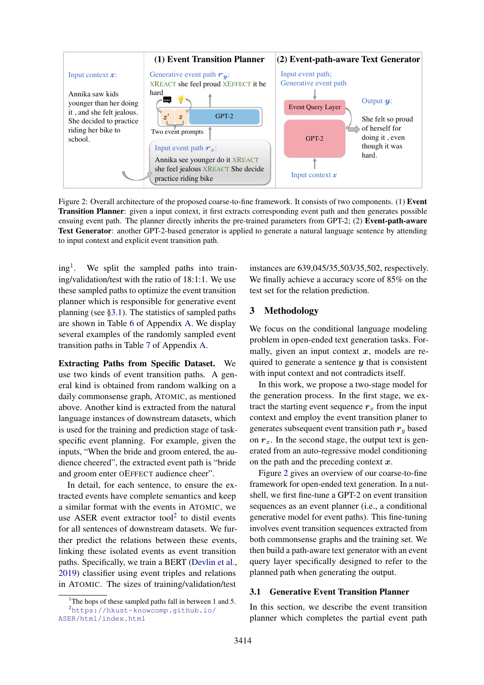<span id="page-2-3"></span>

Figure 2: Overall architecture of the proposed coarse-to-fine framework. It consists of two components. (1) Event Transition Planner: given a input context, it first extracts corresponding event path and then generates possible ensuing event path. The planner directly inherits the pre-trained parameters from GPT-2; (2) Event-path-aware Text Generator: another GPT-2-based generator is applied to generate a natural language sentence by attending to input context and explicit event transition path.

ing[1](#page-2-1) . We split the sampled paths into training/validation/test with the ratio of 18:1:1. We use these sampled paths to optimize the event transition planner which is responsible for generative event planning (see [§3.1\)](#page-2-0). The statistics of sampled paths are shown in Table [6](#page-12-2) of Appendix [A.](#page-12-3) We display several examples of the randomly sampled event transition paths in Table [7](#page-12-4) of Appendix [A.](#page-12-3)

Extracting Paths from Specific Dataset. We use two kinds of event transition paths. A general kind is obtained from random walking on a daily commonsense graph, ATOMIC, as mentioned above. Another kind is extracted from the natural language instances of downstream datasets, which is used for the training and prediction stage of taskspecific event planning. For example, given the inputs, "When the bride and groom entered, the audience cheered", the extracted event path is "bride and groom enter OEFFECT audience cheer".

In detail, for each sentence, to ensure the extracted events have complete semantics and keep a similar format with the events in ATOMIC, we use ASER event extractor tool<sup>[2](#page-2-2)</sup> to distil events for all sentences of downstream datasets. We further predict the relations between these events, linking these isolated events as event transition paths. Specifically, we train a BERT [\(Devlin et al.,](#page-9-8) [2019\)](#page-9-8) classifier using event triples and relations in ATOMIC. The sizes of training/validation/test

instances are 639,045/35,503/35,502, respectively. We finally achieve a accuracy score of 85% on the test set for the relation prediction.

### 3 Methodology

We focus on the conditional language modeling problem in open-ended text generation tasks. Formally, given an input context  $x$ , models are required to generate a sentence  $\boldsymbol{\eta}$  that is consistent with input context and not contradicts itself.

In this work, we propose a two-stage model for the generation process. In the first stage, we extract the starting event sequence  $r<sub>x</sub>$  from the input context and employ the event transition planer to generates subsequent event transition path  $r_y$  based on  $r<sub>x</sub>$ . In the second stage, the output text is generated from an auto-regressive model conditioning on the path and the preceding context  $x$ .

Figure [2](#page-2-3) gives an overview of our coarse-to-fine framework for open-ended text generation. In a nutshell, we first fine-tune a GPT-2 on event transition sequences as an event planner (i.e., a conditional generative model for event paths). This fine-tuning involves event transition sequences extracted from both commonsense graphs and the training set. We then build a path-aware text generator with an event query layer specifically designed to refer to the planned path when generating the output.

# <span id="page-2-0"></span>3.1 Generative Event Transition Planner

In this section, we describe the event transition planner which completes the partial event path

<span id="page-2-2"></span><span id="page-2-1"></span><sup>&</sup>lt;sup>1</sup>The hops of these sampled paths fall in between 1 and 5. <sup>2</sup>[https://hkust-knowcomp.github.io/](https://hkust-knowcomp.github.io/ASER/html/index.html)

[ASER/html/index.html](https://hkust-knowcomp.github.io/ASER/html/index.html)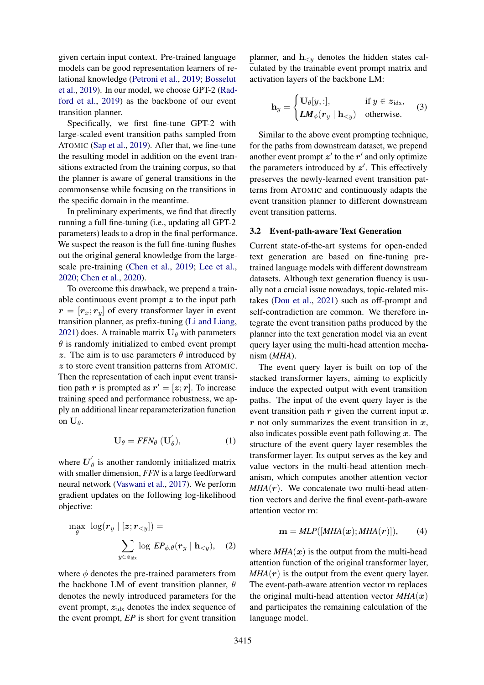given certain input context. Pre-trained language models can be good representation learners of relational knowledge [\(Petroni et al.,](#page-11-4) [2019;](#page-11-4) [Bosselut](#page-9-9) [et al.,](#page-9-9) [2019\)](#page-9-9). In our model, we choose GPT-2 [\(Rad](#page-11-0)[ford et al.,](#page-11-0) [2019\)](#page-11-0) as the backbone of our event transition planner.

Specifically, we first fine-tune GPT-2 with large-scaled event transition paths sampled from ATOMIC [\(Sap et al.,](#page-11-3) [2019\)](#page-11-3). After that, we fine-tune the resulting model in addition on the event transitions extracted from the training corpus, so that the planner is aware of general transitions in the commonsense while focusing on the transitions in the specific domain in the meantime.

In preliminary experiments, we find that directly running a full fine-tuning (i.e., updating all GPT-2 parameters) leads to a drop in the final performance. We suspect the reason is the full fine-tuning flushes out the original general knowledge from the largescale pre-training [\(Chen et al.,](#page-9-10) [2019;](#page-9-10) [Lee et al.,](#page-10-5) [2020;](#page-10-5) [Chen et al.,](#page-9-11) [2020\)](#page-9-11).

To overcome this drawback, we prepend a trainable continuous event prompt  $z$  to the input path  $r = [r_x; r_y]$  of every transformer layer in event transition planner, as prefix-tuning [\(Li and Liang,](#page-10-6) [2021\)](#page-10-6) does. A trainable matrix  $U_\theta$  with parameters  $\theta$  is randomly initialized to embed event prompt z. The aim is to use parameters  $\theta$  introduced by z to store event transition patterns from ATOMIC. Then the representation of each input event transition path r is prompted as  $r' = [z; r]$ . To increase training speed and performance robustness, we apply an additional linear reparameterization function on  $\mathbf{U}_{\theta}$ .

$$
\mathbf{U}_{\theta} = FFN_{\theta} \; (\mathbf{U}_{\theta}^{'}), \tag{1}
$$

where  $U'_{\ell}$  $\theta_{\theta}$  is another randomly initialized matrix with smaller dimension, *FFN* is a large feedforward neural network [\(Vaswani et al.,](#page-11-6) [2017\)](#page-11-6). We perform gradient updates on the following log-likelihood objective:

$$
\max_{\theta} \log(r_y \mid [z; r_{
$$
\sum_{y \in z_{\text{idx}}} \log EP_{\phi, \theta}(r_y \mid \mathbf{h}_{
$$
$$

where  $\phi$  denotes the pre-trained parameters from the backbone LM of event transition planner,  $\theta$ denotes the newly introduced parameters for the event prompt,  $z_{idx}$  denotes the index sequence of the event prompt, *EP* is short for event transition

planner, and  $h_{< y}$  denotes the hidden states calculated by the trainable event prompt matrix and activation layers of the backbone LM:

$$
\mathbf{h}_y = \begin{cases} \mathbf{U}_{\theta}[y, :], & \text{if } y \in z_{\text{idx}}, \\ \mathbf{L} \mathbf{M}_{\phi}(\mathbf{r}_y \mid \mathbf{h}_{ (3)
$$

Similar to the above event prompting technique, for the paths from downstream dataset, we prepend another event prompt  $z'$  to the  $r'$  and only optimize the parameters introduced by  $z'$ . This effectively preserves the newly-learned event transition patterns from ATOMIC and continuously adapts the event transition planner to different downstream event transition patterns.

#### <span id="page-3-0"></span>3.2 Event-path-aware Text Generation

Current state-of-the-art systems for open-ended text generation are based on fine-tuning pretrained language models with different downstream datasets. Although text generation fluency is usually not a crucial issue nowadays, topic-related mistakes [\(Dou et al.,](#page-9-4) [2021\)](#page-9-4) such as off-prompt and self-contradiction are common. We therefore integrate the event transition paths produced by the planner into the text generation model via an event query layer using the multi-head attention mechanism (*MHA*).

<span id="page-3-1"></span>The event query layer is built on top of the stacked transformer layers, aiming to explicitly induce the expected output with event transition paths. The input of the event query layer is the event transition path  $r$  given the current input  $x$ .  $r$  not only summarizes the event transition in  $x$ , also indicates possible event path following  $x$ . The structure of the event query layer resembles the transformer layer. Its output serves as the key and value vectors in the multi-head attention mechanism, which computes another attention vector  $MHA(r)$ . We concatenate two multi-head attention vectors and derive the final event-path-aware attention vector m:

$$
\mathbf{m} = MLP([MHA(\mathbf{x}); MHA(\mathbf{r})]), \qquad (4)
$$

where  $MHA(x)$  is the output from the multi-head attention function of the original transformer layer,  $MHA(r)$  is the output from the event query layer. The event-path-aware attention vector m replaces the original multi-head attention vector  $MHA(x)$ and participates the remaining calculation of the language model.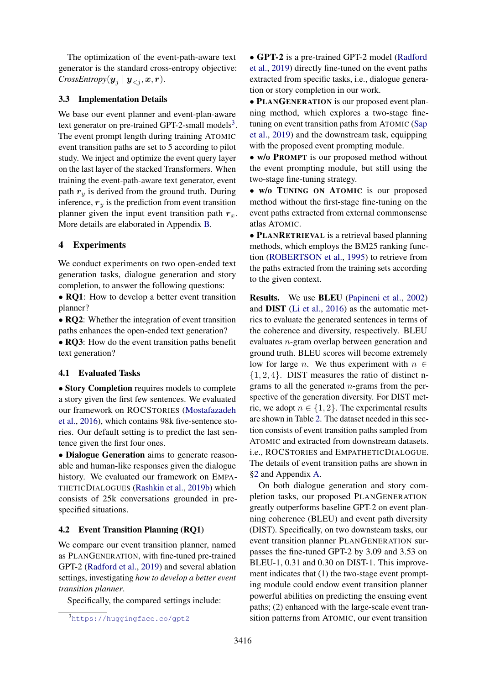The optimization of the event-path-aware text generator is the standard cross-entropy objective:  $CrossEntropy(\boldsymbol{y}_j \mid \boldsymbol{y}_{$ 

### 3.3 Implementation Details

We base our event planner and event-plan-aware text generator on pre-trained GPT-2-small models<sup>[3](#page-4-0)</sup>. The event prompt length during training ATOMIC event transition paths are set to 5 according to pilot study. We inject and optimize the event query layer on the last layer of the stacked Transformers. When training the event-path-aware text generator, event path  $r_y$  is derived from the ground truth. During inference,  $r_y$  is the prediction from event transition planner given the input event transition path  $r_x$ . More details are elaborated in Appendix [B.](#page-12-5)

## 4 Experiments

We conduct experiments on two open-ended text generation tasks, dialogue generation and story completion, to answer the following questions:

• RQ1: How to develop a better event transition planner?

• RQ2: Whether the integration of event transition paths enhances the open-ended text generation?

• RQ3: How do the event transition paths benefit text generation?

### 4.1 Evaluated Tasks

• Story Completion requires models to complete a story given the first few sentences. We evaluated our framework on ROCSTORIES [\(Mostafazadeh](#page-10-3) [et al.,](#page-10-3) [2016\)](#page-10-3), which contains 98k five-sentence stories. Our default setting is to predict the last sentence given the first four ones.

• Dialogue Generation aims to generate reasonable and human-like responses given the dialogue history. We evaluated our framework on EMPA-THETICDIALOGUES [\(Rashkin et al.,](#page-11-5) [2019b\)](#page-11-5) which consists of 25k conversations grounded in prespecified situations.

#### <span id="page-4-1"></span>4.2 Event Transition Planning (RQ1)

We compare our event transition planner, named as PLANGENERATION, with fine-tuned pre-trained GPT-2 [\(Radford et al.,](#page-11-0) [2019\)](#page-11-0) and several ablation settings, investigating *how to develop a better event transition planner*.

Specifically, the compared settings include:

• GPT-2 is a pre-trained GPT-2 model [\(Radford](#page-11-0) [et al.,](#page-11-0) [2019\)](#page-11-0) directly fine-tuned on the event paths extracted from specific tasks, i.e., dialogue generation or story completion in our work.

• PLANGENERATION is our proposed event planning method, which explores a two-stage finetuning on event transition paths from ATOMIC [\(Sap](#page-11-3) [et al.,](#page-11-3) [2019\)](#page-11-3) and the downstream task, equipping with the proposed event prompting module.

• w/o PROMPT is our proposed method without the event prompting module, but still using the two-stage fine-tuning strategy.

• w/o TUNING ON ATOMIC is our proposed method without the first-stage fine-tuning on the event paths extracted from external commonsense atlas ATOMIC.

• PLANRETRIEVAL is a retrieval based planning methods, which employs the BM25 ranking function [\(ROBERTSON et al.,](#page-11-7) [1995\)](#page-11-7) to retrieve from the paths extracted from the training sets according to the given context.

Results. We use BLEU [\(Papineni et al.,](#page-10-7) [2002\)](#page-10-7) and DIST [\(Li et al.,](#page-10-8) [2016\)](#page-10-8) as the automatic metrics to evaluate the generated sentences in terms of the coherence and diversity, respectively. BLEU evaluates n-gram overlap between generation and ground truth. BLEU scores will become extremely low for large *n*. We thus experiment with  $n \in$  $\{1, 2, 4\}$ . DIST measures the ratio of distinct ngrams to all the generated  $n$ -grams from the perspective of the generation diversity. For DIST metric, we adopt  $n \in \{1, 2\}$ . The experimental results are shown in Table [2.](#page-5-0) The dataset needed in this section consists of event transition paths sampled from ATOMIC and extracted from downstream datasets. i.e., ROCSTORIES and EMPATHETICDIALOGUE. The details of event transition paths are shown in [§2](#page-1-1) and Appendix [A.](#page-12-3)

On both dialogue generation and story completion tasks, our proposed PLANGENERATION greatly outperforms baseline GPT-2 on event planning coherence (BLEU) and event path diversity (DIST). Specifically, on two downsteam tasks, our event transition planner PLANGENERATION surpasses the fine-tuned GPT-2 by 3.09 and 3.53 on BLEU-1, 0.31 and 0.30 on DIST-1. This improvement indicates that (1) the two-stage event prompting module could endow event transition planner powerful abilities on predicting the ensuing event paths; (2) enhanced with the large-scale event transition patterns from ATOMIC, our event transition

<span id="page-4-0"></span><sup>3</sup><https://huggingface.co/gpt2>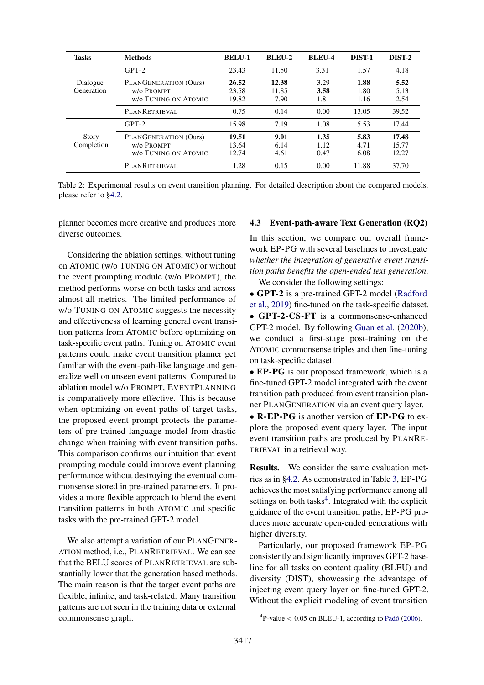<span id="page-5-0"></span>

| <b>Tasks</b>           | <b>Methods</b>                                              | <b>BELU-1</b>           | <b>BLEU-2</b>          | <b>BLEU-4</b>        | DIST-1               | DIST-2                  |
|------------------------|-------------------------------------------------------------|-------------------------|------------------------|----------------------|----------------------|-------------------------|
|                        | $GPT-2$                                                     | 23.43                   | 11.50                  | 3.31                 | 1.57                 | 4.18                    |
| Dialogue<br>Generation | PLANGENERATION (Ours)<br>W/O PROMPT<br>w/o TUNING ON ATOMIC | 26.52<br>23.58<br>19.82 | 12.38<br>11.85<br>7.90 | 3.29<br>3.58<br>1.81 | 1.88<br>1.80<br>1.16 | 5.52<br>5.13<br>2.54    |
|                        | PLANRETRIEVAL                                               | 0.75                    | 0.14                   | 0.00                 | 13.05                | 39.52                   |
|                        | $GPT-2$                                                     | 15.98                   | 7.19                   | 1.08                 | 5.53                 | 17.44                   |
| Story<br>Completion    | PLANGENERATION (Ours)<br>w/o Prompt<br>w/o TUNING ON ATOMIC | 19.51<br>13.64<br>12.74 | 9.01<br>6.14<br>4.61   | 1.35<br>1.12<br>0.47 | 5.83<br>4.71<br>6.08 | 17.48<br>15.77<br>12.27 |
|                        | PLANRETRIEVAL                                               | 1.28                    | 0.15                   | 0.00                 | 11.88                | 37.70                   |

Table 2: Experimental results on event transition planning. For detailed description about the compared models, please refer to [§4.2.](#page-4-1)

planner becomes more creative and produces more diverse outcomes.

Considering the ablation settings, without tuning on ATOMIC (w/o TUNING ON ATOMIC) or without the event prompting module (w/o PROMPT), the method performs worse on both tasks and across almost all metrics. The limited performance of w/o TUNING ON ATOMIC suggests the necessity and effectiveness of learning general event transition patterns from ATOMIC before optimizing on task-specific event paths. Tuning on ATOMIC event patterns could make event transition planner get familiar with the event-path-like language and generalize well on unseen event patterns. Compared to ablation model w/o PROMPT, EVENTPLANNING is comparatively more effective. This is because when optimizing on event paths of target tasks, the proposed event prompt protects the parameters of pre-trained language model from drastic change when training with event transition paths. This comparison confirms our intuition that event prompting module could improve event planning performance without destroying the eventual commonsense stored in pre-trained parameters. It provides a more flexible approach to blend the event transition patterns in both ATOMIC and specific tasks with the pre-trained GPT-2 model.

We also attempt a variation of our PLANGENER-ATION method, i.e., PLANRETRIEVAL. We can see that the BELU scores of PLANRETRIEVAL are substantially lower that the generation based methods. The main reason is that the target event paths are flexible, infinite, and task-related. Many transition patterns are not seen in the training data or external commonsense graph.

#### <span id="page-5-2"></span>4.3 Event-path-aware Text Generation (RQ2)

In this section, we compare our overall framework EP-PG with several baselines to investigate *whether the integration of generative event transition paths benefits the open-ended text generation*.

We consider the following settings:

• GPT-2 is a pre-trained GPT-2 model [\(Radford](#page-11-0) [et al.,](#page-11-0) [2019\)](#page-11-0) fine-tuned on the task-specific dataset. • GPT-2-CS-FT is a commonsense-enhanced GPT-2 model. By following [Guan et al.](#page-10-4) [\(2020b\)](#page-10-4), we conduct a first-stage post-training on the ATOMIC commonsense triples and then fine-tuning on task-specific dataset.

• **EP-PG** is our proposed framework, which is a fine-tuned GPT-2 model integrated with the event transition path produced from event transition planner PLANGENERATION via an event query layer.

• R-EP-PG is another version of EP-PG to explore the proposed event query layer. The input event transition paths are produced by PLANRE-TRIEVAL in a retrieval way.

Results. We consider the same evaluation metrics as in [§4.2.](#page-4-1) As demonstrated in Table [3,](#page-6-0) EP-PG achieves the most satisfying performance among all settings on both tasks<sup>[4](#page-5-1)</sup>. Integrated with the explicit guidance of the event transition paths, EP-PG produces more accurate open-ended generations with higher diversity.

Particularly, our proposed framework EP-PG consistently and significantly improves GPT-2 baseline for all tasks on content quality (BLEU) and diversity (DIST), showcasing the advantage of injecting event query layer on fine-tuned GPT-2. Without the explicit modeling of event transition

<span id="page-5-1"></span> ${}^{4}$ P-value  $< 0.05$  on BLEU-1, according to [Padó](#page-10-9) [\(2006\)](#page-10-9).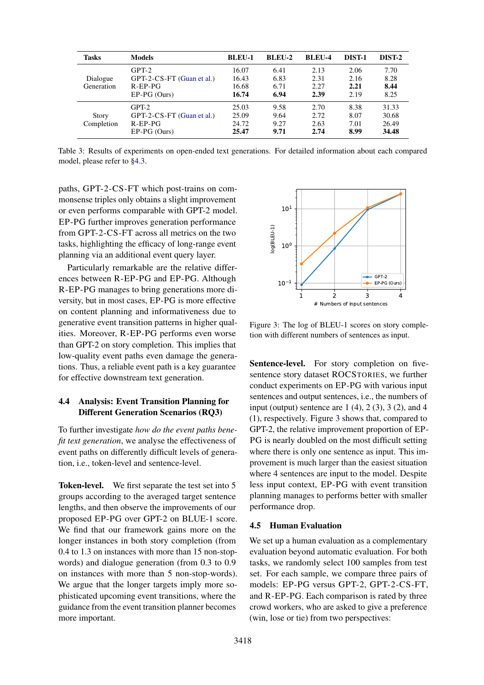<span id="page-6-0"></span>

| <b>Tasks</b>               | <b>Models</b>                                                           | <b>BLEU-1</b>                    | BLEU-2                       | BLEU-4                       | DIST-1                       | DIST-2                           |
|----------------------------|-------------------------------------------------------------------------|----------------------------------|------------------------------|------------------------------|------------------------------|----------------------------------|
| Dialogue<br>Generation     | $GPT-2$<br>GPT-2-CS-FT (Guan et al.)<br>$R$ -EP-P $G$<br>$EP-PG$ (Ours) | 16.07<br>16.43<br>16.68<br>16.74 | 6.41<br>6.83<br>6.71<br>6.94 | 2.13<br>2.31<br>2.27<br>2.39 | 2.06<br>2.16<br>2.21<br>2.19 | 7.70<br>8.28<br>8.44<br>8.25     |
| <b>Story</b><br>Completion | $GPT-2$<br>GPT-2-CS-FT (Guan et al.)<br>$R$ -EP-P $G$<br>$EP-PG$ (Ours) | 25.03<br>25.09<br>24.72<br>25.47 | 9.58<br>9.64<br>9.27<br>9.71 | 2.70<br>2.72<br>2.63<br>2.74 | 8.38<br>8.07<br>7.01<br>8.99 | 31.33<br>30.68<br>26.49<br>34.48 |

Table 3: Results of experiments on open-ended text generations. For detailed information about each compared model, please refer to [§4.3.](#page-5-2)

paths, GPT-2-CS-FT which post-trains on commonsense triples only obtains a slight improvement or even performs comparable with GPT-2 model. EP-PG further improves generation performance from GPT-2-CS-FT across all metrics on the two tasks, highlighting the efficacy of long-range event planning via an additional event query layer.

Particularly remarkable are the relative differences between R-EP-PG and EP-PG. Although R-EP-PG manages to bring generations more diversity, but in most cases, EP-PG is more effective on content planning and informativeness due to generative event transition patterns in higher qualities. Moreover, R-EP-PG performs even worse than GPT-2 on story completion. This implies that low-quality event paths even damage the generations. Thus, a reliable event path is a key guarantee for effective downstream text generation.

## 4.4 Analysis: Event Transition Planning for Different Generation Scenarios (RQ3)

To further investigate *how do the event paths benefit text generation*, we analyse the effectiveness of event paths on differently difficult levels of generation, i.e., token-level and sentence-level.

Token-level. We first separate the test set into 5 groups according to the averaged target sentence lengths, and then observe the improvements of our proposed EP-PG over GPT-2 on BLUE-1 score. We find that our framework gains more on the longer instances in both story completion (from 0.4 to 1.3 on instances with more than 15 non-stopwords) and dialogue generation (from 0.3 to 0.9 on instances with more than 5 non-stop-words). We argue that the longer targets imply more sophisticated upcoming event transitions, where the guidance from the event transition planner becomes more important.

<span id="page-6-1"></span>

Figure 3: The log of BLEU-1 scores on story completion with different numbers of sentences as input.

Sentence-level. For story completion on fivesentence story dataset ROCSTORIES, we further conduct experiments on EP-PG with various input sentences and output sentences, i.e., the numbers of input (output) sentence are  $1(4)$ ,  $2(3)$ ,  $3(2)$ , and  $4$ (1), respectively. Figure [3](#page-6-1) shows that, compared to GPT-2, the relative improvement proportion of EP-PG is nearly doubled on the most difficult setting where there is only one sentence as input. This improvement is much larger than the easiest situation where 4 sentences are input to the model. Despite less input context, EP-PG with event transition planning manages to performs better with smaller performance drop.

### 4.5 Human Evaluation

We set up a human evaluation as a complementary evaluation beyond automatic evaluation. For both tasks, we randomly select 100 samples from test set. For each sample, we compare three pairs of models: EP-PG versus GPT-2, GPT-2-CS-FT, and R-EP-PG. Each comparison is rated by three crowd workers, who are asked to give a preference (win, lose or tie) from two perspectives: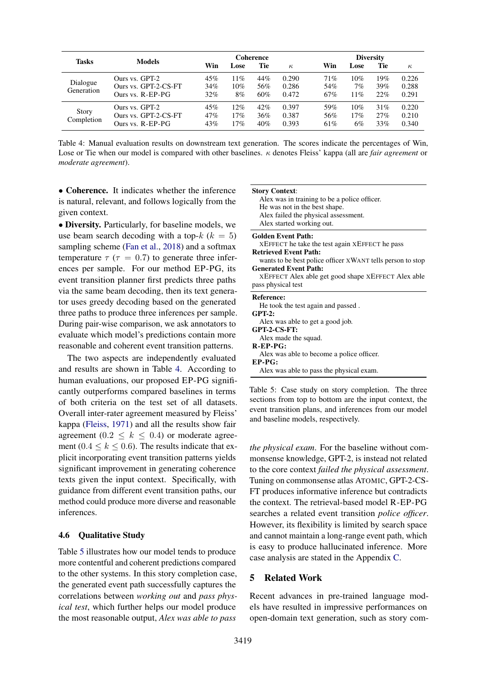<span id="page-7-0"></span>

|                            | <b>Models</b>                                              | <b>Coherence</b>  |                   |                   | <b>Diversity</b>        |                   |                     |                   |                         |
|----------------------------|------------------------------------------------------------|-------------------|-------------------|-------------------|-------------------------|-------------------|---------------------|-------------------|-------------------------|
| <b>Tasks</b>               |                                                            | Win               | Lose              | Tie               | $\kappa$                | Win               | Lose                | Tie               | $\kappa$                |
| Dialogue<br>Generation     | Ours vs. GPT-2<br>Ours vs. GPT-2-CS-FT<br>Ours vs. R-EP-PG | 45%<br>34%<br>32% | 11%<br>10%<br>8%  | 44%<br>56%<br>60% | 0.290<br>0.286<br>0.472 | 71%<br>54%<br>67% | 10%<br>$7\%$<br>11% | 19%<br>39%<br>22% | 0.226<br>0.288<br>0.291 |
| <b>Story</b><br>Completion | Ours vs. GPT-2<br>Ours vs. GPT-2-CS-FT<br>Ours vs. R-EP-PG | 45%<br>47%<br>43% | 12%<br>17%<br>17% | 42%<br>36%<br>40% | 0.397<br>0.387<br>0.393 | 59%<br>56%<br>61% | 10%<br>17%<br>6%    | 31%<br>27%<br>33% | 0.220<br>0.210<br>0.340 |

Table 4: Manual evaluation results on downstream text generation. The scores indicate the percentages of Win, Lose or Tie when our model is compared with other baselines. κ denotes Fleiss' kappa (all are *fair agreement* or *moderate agreement*).

• Coherence. It indicates whether the inference is natural, relevant, and follows logically from the given context.

• Diversity. Particularly, for baseline models, we use beam search decoding with a top- $k$  ( $k = 5$ ) sampling scheme [\(Fan et al.,](#page-9-12) [2018\)](#page-9-12) and a softmax temperature  $\tau$  ( $\tau$  = 0.7) to generate three inferences per sample. For our method EP-PG, its event transition planner first predicts three paths via the same beam decoding, then its text generator uses greedy decoding based on the generated three paths to produce three inferences per sample. During pair-wise comparison, we ask annotators to evaluate which model's predictions contain more reasonable and coherent event transition patterns.

The two aspects are independently evaluated and results are shown in Table [4.](#page-7-0) According to human evaluations, our proposed EP-PG significantly outperforms compared baselines in terms of both criteria on the test set of all datasets. Overall inter-rater agreement measured by Fleiss' kappa [\(Fleiss,](#page-9-13) [1971\)](#page-9-13) and all the results show fair agreement (0.2  $\leq k \leq$  0.4) or moderate agreement (0.4  $\leq$  k  $\leq$  0.6). The results indicate that explicit incorporating event transition patterns yields significant improvement in generating coherence texts given the input context. Specifically, with guidance from different event transition paths, our method could produce more diverse and reasonable inferences.

### 4.6 Qualitative Study

Table [5](#page-7-1) illustrates how our model tends to produce more contentful and coherent predictions compared to the other systems. In this story completion case, the generated event path successfully captures the correlations between *working out* and *pass physical test*, which further helps our model produce the most reasonable output, *Alex was able to pass*

#### <span id="page-7-1"></span>Story Context:

Alex was in training to be a police officer. He was not in the best shape. Alex failed the physical assessment. Alex started working out.

Golden Event Path:

XEFFECT he take the test again XEFFECT he pass Retrieved Event Path:

- wants to be best police officer XWANT tells person to stop Generated Event Path:
- XEFFECT Alex able get good shape XEFFECT Alex able pass physical test

# Reference:

| He took the test again and passed.        |  |
|-------------------------------------------|--|
| $GPT-2:$                                  |  |
| Alex was able to get a good job.          |  |
| GPT-2-CS-FT:                              |  |
| Alex made the squad.                      |  |
| $R$ -EP-P $G$ :                           |  |
| Alex was able to become a police officer. |  |
| $EP-PG:$                                  |  |
| Alex was able to pass the physical exam.  |  |
|                                           |  |

Table 5: Case study on story completion. The three sections from top to bottom are the input context, the event transition plans, and inferences from our model and baseline models, respectively.

*the physical exam*. For the baseline without commonsense knowledge, GPT-2, is instead not related to the core context *failed the physical assessment*. Tuning on commonsense atlas ATOMIC, GPT-2-CS-FT produces informative inference but contradicts the context. The retrieval-based model R-EP-PG searches a related event transition *police officer*. However, its flexibility is limited by search space and cannot maintain a long-range event path, which is easy to produce hallucinated inference. More case analysis are stated in the Appendix [C.](#page-12-6)

#### 5 Related Work

Recent advances in pre-trained language models have resulted in impressive performances on open-domain text generation, such as story com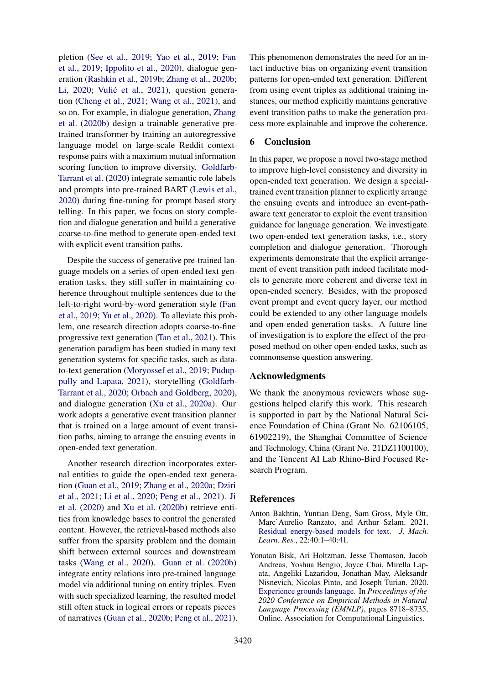pletion [\(See et al.,](#page-11-8) [2019;](#page-11-8) [Yao et al.,](#page-12-7) [2019;](#page-12-7) [Fan](#page-9-3) [et al.,](#page-9-3) [2019;](#page-9-3) [Ippolito et al.,](#page-10-10) [2020\)](#page-10-10), dialogue generation [\(Rashkin et al.,](#page-11-5) [2019b;](#page-11-5) [Zhang et al.,](#page-12-0) [2020b;](#page-12-0) [Li,](#page-10-11) [2020;](#page-10-11) Vulić et al., [2021\)](#page-11-9), question generation [\(Cheng et al.,](#page-9-14) [2021;](#page-9-14) [Wang et al.,](#page-11-10) [2021\)](#page-11-10), and so on. For example, in dialogue generation, [Zhang](#page-12-0) [et al.](#page-12-0) [\(2020b\)](#page-12-0) design a trainable generative pretrained transformer by training an autoregressive language model on large-scale Reddit contextresponse pairs with a maximum mutual information scoring function to improve diversity. [Goldfarb-](#page-9-15)[Tarrant et al.](#page-9-15) [\(2020\)](#page-9-15) integrate semantic role labels and prompts into pre-trained BART [\(Lewis et al.,](#page-10-12) [2020\)](#page-10-12) during fine-tuning for prompt based story telling. In this paper, we focus on story completion and dialogue generation and build a generative coarse-to-fine method to generate open-ended text with explicit event transition paths.

Despite the success of generative pre-trained language models on a series of open-ended text generation tasks, they still suffer in maintaining coherence throughout multiple sentences due to the left-to-right word-by-word generation style [\(Fan](#page-9-3) [et al.,](#page-9-3) [2019;](#page-9-3) [Yu et al.,](#page-12-8) [2020\)](#page-12-8). To alleviate this problem, one research direction adopts coarse-to-fine progressive text generation [\(Tan et al.,](#page-11-2) [2021\)](#page-11-2). This generation paradigm has been studied in many text generation systems for specific tasks, such as datato-text generation [\(Moryossef et al.,](#page-10-13) [2019;](#page-10-13) [Pudup](#page-11-11)[pully and Lapata,](#page-11-11) [2021\)](#page-11-11), storytelling [\(Goldfarb-](#page-9-15)[Tarrant et al.,](#page-9-15) [2020;](#page-9-15) [Orbach and Goldberg,](#page-10-14) [2020\)](#page-10-14), and dialogue generation [\(Xu et al.,](#page-11-12) [2020a\)](#page-11-12). Our work adopts a generative event transition planner that is trained on a large amount of event transition paths, aiming to arrange the ensuing events in open-ended text generation.

Another research direction incorporates external entities to guide the open-ended text generation [\(Guan et al.,](#page-10-15) [2019;](#page-10-15) [Zhang et al.,](#page-12-9) [2020a;](#page-12-9) [Dziri](#page-9-5) [et al.,](#page-9-5) [2021;](#page-9-5) [Li et al.,](#page-10-16) [2020;](#page-10-16) [Peng et al.,](#page-11-13) [2021\)](#page-11-13). [Ji](#page-10-1) [et al.](#page-10-1) [\(2020\)](#page-10-1) and [Xu et al.](#page-11-14) [\(2020b\)](#page-11-14) retrieve entities from knowledge bases to control the generated content. However, the retrieval-based methods also suffer from the sparsity problem and the domain shift between external sources and downstream tasks [\(Wang et al.,](#page-11-15) [2020\)](#page-11-15). [Guan et al.](#page-10-4) [\(2020b\)](#page-10-4) integrate entity relations into pre-trained language model via additional tuning on entity triples. Even with such specialized learning, the resulted model still often stuck in logical errors or repeats pieces of narratives [\(Guan et al.,](#page-10-4) [2020b;](#page-10-4) [Peng et al.,](#page-11-13) [2021\)](#page-11-13). This phenomenon demonstrates the need for an intact inductive bias on organizing event transition patterns for open-ended text generation. Different from using event triples as additional training instances, our method explicitly maintains generative event transition paths to make the generation process more explainable and improve the coherence.

## 6 Conclusion

In this paper, we propose a novel two-stage method to improve high-level consistency and diversity in open-ended text generation. We design a specialtrained event transition planner to explicitly arrange the ensuing events and introduce an event-pathaware text generator to exploit the event transition guidance for language generation. We investigate two open-ended text generation tasks, i.e., story completion and dialogue generation. Thorough experiments demonstrate that the explicit arrangement of event transition path indeed facilitate models to generate more coherent and diverse text in open-ended scenery. Besides, with the proposed event prompt and event query layer, our method could be extended to any other language models and open-ended generation tasks. A future line of investigation is to explore the effect of the proposed method on other open-ended tasks, such as commonsense question answering.

### Acknowledgments

We thank the anonymous reviewers whose suggestions helped clarify this work. This research is supported in part by the National Natural Science Foundation of China (Grant No. 62106105, 61902219), the Shanghai Committee of Science and Technology, China (Grant No. 21DZ1100100), and the Tencent AI Lab Rhino-Bird Focused Research Program.

## References

- <span id="page-8-0"></span>Anton Bakhtin, Yuntian Deng, Sam Gross, Myle Ott, Marc'Aurelio Ranzato, and Arthur Szlam. 2021. [Residual energy-based models for text.](http://jmlr.org/papers/v22/20-326.html) *J. Mach. Learn. Res.*, 22:40:1–40:41.
- <span id="page-8-1"></span>Yonatan Bisk, Ari Holtzman, Jesse Thomason, Jacob Andreas, Yoshua Bengio, Joyce Chai, Mirella Lapata, Angeliki Lazaridou, Jonathan May, Aleksandr Nisnevich, Nicolas Pinto, and Joseph Turian. 2020. [Experience grounds language.](https://doi.org/10.18653/v1/2020.emnlp-main.703) In *Proceedings of the 2020 Conference on Empirical Methods in Natural Language Processing (EMNLP)*, pages 8718–8735, Online. Association for Computational Linguistics.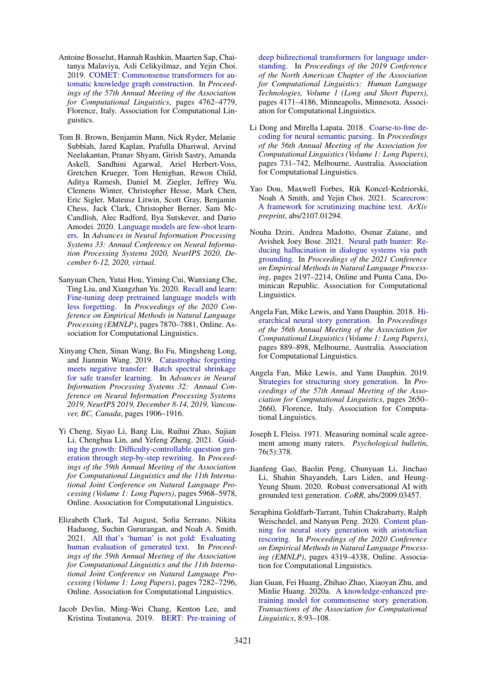- <span id="page-9-9"></span>Antoine Bosselut, Hannah Rashkin, Maarten Sap, Chaitanya Malaviya, Asli Celikyilmaz, and Yejin Choi. 2019. [COMET: Commonsense transformers for au](https://doi.org/10.18653/v1/P19-1470)[tomatic knowledge graph construction.](https://doi.org/10.18653/v1/P19-1470) In *Proceedings of the 57th Annual Meeting of the Association for Computational Linguistics*, pages 4762–4779, Florence, Italy. Association for Computational Linguistics.
- <span id="page-9-0"></span>Tom B. Brown, Benjamin Mann, Nick Ryder, Melanie Subbiah, Jared Kaplan, Prafulla Dhariwal, Arvind Neelakantan, Pranav Shyam, Girish Sastry, Amanda Askell, Sandhini Agarwal, Ariel Herbert-Voss, Gretchen Krueger, Tom Henighan, Rewon Child, Aditya Ramesh, Daniel M. Ziegler, Jeffrey Wu, Clemens Winter, Christopher Hesse, Mark Chen, Eric Sigler, Mateusz Litwin, Scott Gray, Benjamin Chess, Jack Clark, Christopher Berner, Sam Mc-Candlish, Alec Radford, Ilya Sutskever, and Dario Amodei. 2020. [Language models are few-shot learn](https://proceedings.neurips.cc/paper/2020/hash/1457c0d6bfcb4967418bfb8ac142f64a-Abstract.html)[ers.](https://proceedings.neurips.cc/paper/2020/hash/1457c0d6bfcb4967418bfb8ac142f64a-Abstract.html) In *Advances in Neural Information Processing Systems 33: Annual Conference on Neural Information Processing Systems 2020, NeurIPS 2020, December 6-12, 2020, virtual*.
- <span id="page-9-11"></span>Sanyuan Chen, Yutai Hou, Yiming Cui, Wanxiang Che, Ting Liu, and Xiangzhan Yu. 2020. [Recall and learn:](https://doi.org/10.18653/v1/2020.emnlp-main.634) [Fine-tuning deep pretrained language models with](https://doi.org/10.18653/v1/2020.emnlp-main.634) [less forgetting.](https://doi.org/10.18653/v1/2020.emnlp-main.634) In *Proceedings of the 2020 Conference on Empirical Methods in Natural Language Processing (EMNLP)*, pages 7870–7881, Online. Association for Computational Linguistics.
- <span id="page-9-10"></span>Xinyang Chen, Sinan Wang, Bo Fu, Mingsheng Long, and Jianmin Wang. 2019. [Catastrophic forgetting](https://proceedings.neurips.cc/paper/2019/hash/c6bff625bdb0393992c9d4db0c6bbe45-Abstract.html) [meets negative transfer: Batch spectral shrinkage](https://proceedings.neurips.cc/paper/2019/hash/c6bff625bdb0393992c9d4db0c6bbe45-Abstract.html) [for safe transfer learning.](https://proceedings.neurips.cc/paper/2019/hash/c6bff625bdb0393992c9d4db0c6bbe45-Abstract.html) In *Advances in Neural Information Processing Systems 32: Annual Conference on Neural Information Processing Systems 2019, NeurIPS 2019, December 8-14, 2019, Vancouver, BC, Canada*, pages 1906–1916.
- <span id="page-9-14"></span>Yi Cheng, Siyao Li, Bang Liu, Ruihui Zhao, Sujian Li, Chenghua Lin, and Yefeng Zheng. 2021. [Guid](https://doi.org/10.18653/v1/2021.acl-long.465)[ing the growth: Difficulty-controllable question gen](https://doi.org/10.18653/v1/2021.acl-long.465)[eration through step-by-step rewriting.](https://doi.org/10.18653/v1/2021.acl-long.465) In *Proceedings of the 59th Annual Meeting of the Association for Computational Linguistics and the 11th International Joint Conference on Natural Language Processing (Volume 1: Long Papers)*, pages 5968–5978, Online. Association for Computational Linguistics.
- <span id="page-9-1"></span>Elizabeth Clark, Tal August, Sofia Serrano, Nikita Haduong, Suchin Gururangan, and Noah A. Smith. 2021. [All that's 'human' is not gold: Evaluating](https://doi.org/10.18653/v1/2021.acl-long.565) [human evaluation of generated text.](https://doi.org/10.18653/v1/2021.acl-long.565) In *Proceedings of the 59th Annual Meeting of the Association for Computational Linguistics and the 11th International Joint Conference on Natural Language Processing (Volume 1: Long Papers)*, pages 7282–7296, Online. Association for Computational Linguistics.
- <span id="page-9-8"></span>Jacob Devlin, Ming-Wei Chang, Kenton Lee, and Kristina Toutanova. 2019. [BERT: Pre-training of](https://doi.org/10.18653/v1/N19-1423)

[deep bidirectional transformers for language under](https://doi.org/10.18653/v1/N19-1423)[standing.](https://doi.org/10.18653/v1/N19-1423) In *Proceedings of the 2019 Conference of the North American Chapter of the Association for Computational Linguistics: Human Language Technologies, Volume 1 (Long and Short Papers)*, pages 4171–4186, Minneapolis, Minnesota. Association for Computational Linguistics.

- <span id="page-9-6"></span>Li Dong and Mirella Lapata. 2018. [Coarse-to-fine de](https://doi.org/10.18653/v1/P18-1068)[coding for neural semantic parsing.](https://doi.org/10.18653/v1/P18-1068) In *Proceedings of the 56th Annual Meeting of the Association for Computational Linguistics (Volume 1: Long Papers)*, pages 731–742, Melbourne, Australia. Association for Computational Linguistics.
- <span id="page-9-4"></span>Yao Dou, Maxwell Forbes, Rik Koncel-Kedziorski, Noah A Smith, and Yejin Choi. 2021. [Scarecrow:](https://arxiv.org/abs/2107.01294) [A framework for scrutinizing machine text.](https://arxiv.org/abs/2107.01294) *ArXiv preprint*, abs/2107.01294.
- <span id="page-9-5"></span>Nouha Dziri, Andrea Madotto, Osmar Zaïane, and Avishek Joey Bose. 2021. [Neural path hunter: Re](https://doi.org/10.18653/v1/2021.emnlp-main.168)[ducing hallucination in dialogue systems via path](https://doi.org/10.18653/v1/2021.emnlp-main.168) [grounding.](https://doi.org/10.18653/v1/2021.emnlp-main.168) In *Proceedings of the 2021 Conference on Empirical Methods in Natural Language Processing*, pages 2197–2214, Online and Punta Cana, Dominican Republic. Association for Computational Linguistics.
- <span id="page-9-12"></span>Angela Fan, Mike Lewis, and Yann Dauphin. 2018. [Hi](https://doi.org/10.18653/v1/P18-1082)[erarchical neural story generation.](https://doi.org/10.18653/v1/P18-1082) In *Proceedings of the 56th Annual Meeting of the Association for Computational Linguistics (Volume 1: Long Papers)*, pages 889–898, Melbourne, Australia. Association for Computational Linguistics.
- <span id="page-9-3"></span>Angela Fan, Mike Lewis, and Yann Dauphin. 2019. [Strategies for structuring story generation.](https://doi.org/10.18653/v1/P19-1254) In *Proceedings of the 57th Annual Meeting of the Association for Computational Linguistics*, pages 2650– 2660, Florence, Italy. Association for Computational Linguistics.
- <span id="page-9-13"></span>Joseph L Fleiss. 1971. Measuring nominal scale agreement among many raters. *Psychological bulletin*, 76(5):378.
- <span id="page-9-2"></span>Jianfeng Gao, Baolin Peng, Chunyuan Li, Jinchao Li, Shahin Shayandeh, Lars Liden, and Heung-Yeung Shum. 2020. Robust conversational AI with grounded text generation. *CoRR*, abs/2009.03457.
- <span id="page-9-15"></span>Seraphina Goldfarb-Tarrant, Tuhin Chakrabarty, Ralph Weischedel, and Nanyun Peng. 2020. [Content plan](https://doi.org/10.18653/v1/2020.emnlp-main.351)[ning for neural story generation with aristotelian](https://doi.org/10.18653/v1/2020.emnlp-main.351) [rescoring.](https://doi.org/10.18653/v1/2020.emnlp-main.351) In *Proceedings of the 2020 Conference on Empirical Methods in Natural Language Processing (EMNLP)*, pages 4319–4338, Online. Association for Computational Linguistics.
- <span id="page-9-7"></span>Jian Guan, Fei Huang, Zhihao Zhao, Xiaoyan Zhu, and Minlie Huang. 2020a. [A knowledge-enhanced pre](https://doi.org/10.1162/tacl_a_00302)[training model for commonsense story generation.](https://doi.org/10.1162/tacl_a_00302) *Transactions of the Association for Computational Linguistics*, 8:93–108.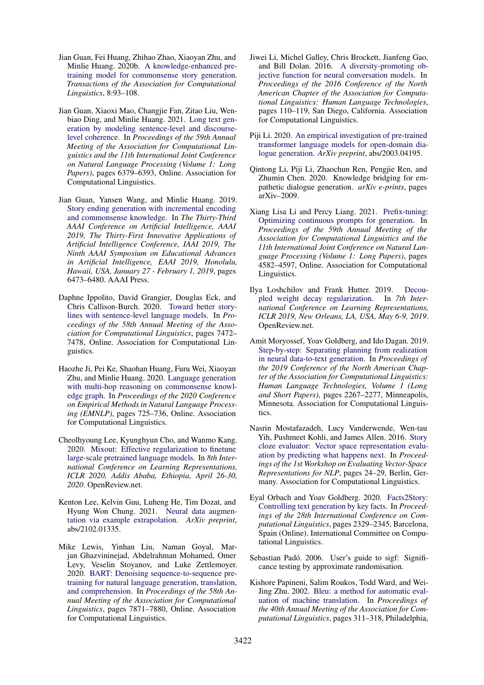- <span id="page-10-4"></span>Jian Guan, Fei Huang, Zhihao Zhao, Xiaoyan Zhu, and Minlie Huang. 2020b. [A knowledge-enhanced pre](https://doi.org/10.1162/tacl_a_00302)[training model for commonsense story generation.](https://doi.org/10.1162/tacl_a_00302) *Transactions of the Association for Computational Linguistics*, 8:93–108.
- <span id="page-10-0"></span>Jian Guan, Xiaoxi Mao, Changjie Fan, Zitao Liu, Wenbiao Ding, and Minlie Huang. 2021. [Long text gen](https://doi.org/10.18653/v1/2021.acl-long.499)[eration by modeling sentence-level and discourse](https://doi.org/10.18653/v1/2021.acl-long.499)[level coherence.](https://doi.org/10.18653/v1/2021.acl-long.499) In *Proceedings of the 59th Annual Meeting of the Association for Computational Linguistics and the 11th International Joint Conference on Natural Language Processing (Volume 1: Long Papers)*, pages 6379–6393, Online. Association for Computational Linguistics.
- <span id="page-10-15"></span>Jian Guan, Yansen Wang, and Minlie Huang. 2019. [Story ending generation with incremental encoding](https://doi.org/10.1609/aaai.v33i01.33016473) [and commonsense knowledge.](https://doi.org/10.1609/aaai.v33i01.33016473) In *The Thirty-Third AAAI Conference on Artificial Intelligence, AAAI 2019, The Thirty-First Innovative Applications of Artificial Intelligence Conference, IAAI 2019, The Ninth AAAI Symposium on Educational Advances in Artificial Intelligence, EAAI 2019, Honolulu, Hawaii, USA, January 27 - February 1, 2019*, pages 6473–6480. AAAI Press.
- <span id="page-10-10"></span>Daphne Ippolito, David Grangier, Douglas Eck, and Chris Callison-Burch. 2020. [Toward better story](https://doi.org/10.18653/v1/2020.acl-main.666)[lines with sentence-level language models.](https://doi.org/10.18653/v1/2020.acl-main.666) In *Proceedings of the 58th Annual Meeting of the Association for Computational Linguistics*, pages 7472– 7478, Online. Association for Computational Linguistics.
- <span id="page-10-1"></span>Haozhe Ji, Pei Ke, Shaohan Huang, Furu Wei, Xiaoyan Zhu, and Minlie Huang. 2020. [Language generation](https://doi.org/10.18653/v1/2020.emnlp-main.54) [with multi-hop reasoning on commonsense knowl](https://doi.org/10.18653/v1/2020.emnlp-main.54)[edge graph.](https://doi.org/10.18653/v1/2020.emnlp-main.54) In *Proceedings of the 2020 Conference on Empirical Methods in Natural Language Processing (EMNLP)*, pages 725–736, Online. Association for Computational Linguistics.
- <span id="page-10-5"></span>Cheolhyoung Lee, Kyunghyun Cho, and Wanmo Kang. 2020. [Mixout: Effective regularization to finetune](https://openreview.net/forum?id=HkgaETNtDB) [large-scale pretrained language models.](https://openreview.net/forum?id=HkgaETNtDB) In *8th International Conference on Learning Representations, ICLR 2020, Addis Ababa, Ethiopia, April 26-30, 2020*. OpenReview.net.
- <span id="page-10-2"></span>Kenton Lee, Kelvin Guu, Luheng He, Tim Dozat, and Hyung Won Chung. 2021. [Neural data augmen](https://arxiv.org/abs/2102.01335)[tation via example extrapolation.](https://arxiv.org/abs/2102.01335) *ArXiv preprint*, abs/2102.01335.
- <span id="page-10-12"></span>Mike Lewis, Yinhan Liu, Naman Goyal, Marjan Ghazvininejad, Abdelrahman Mohamed, Omer Levy, Veselin Stoyanov, and Luke Zettlemoyer. 2020. [BART: Denoising sequence-to-sequence pre](https://doi.org/10.18653/v1/2020.acl-main.703)[training for natural language generation, translation,](https://doi.org/10.18653/v1/2020.acl-main.703) [and comprehension.](https://doi.org/10.18653/v1/2020.acl-main.703) In *Proceedings of the 58th Annual Meeting of the Association for Computational Linguistics*, pages 7871–7880, Online. Association for Computational Linguistics.
- <span id="page-10-8"></span>Jiwei Li, Michel Galley, Chris Brockett, Jianfeng Gao, and Bill Dolan. 2016. [A diversity-promoting ob](https://doi.org/10.18653/v1/N16-1014)[jective function for neural conversation models.](https://doi.org/10.18653/v1/N16-1014) In *Proceedings of the 2016 Conference of the North American Chapter of the Association for Computational Linguistics: Human Language Technologies*, pages 110–119, San Diego, California. Association for Computational Linguistics.
- <span id="page-10-11"></span>Piji Li. 2020. [An empirical investigation of pre-trained](https://arxiv.org/abs/2003.04195) [transformer language models for open-domain dia](https://arxiv.org/abs/2003.04195)[logue generation.](https://arxiv.org/abs/2003.04195) *ArXiv preprint*, abs/2003.04195.
- <span id="page-10-16"></span>Qintong Li, Piji Li, Zhaochun Ren, Pengjie Ren, and Zhumin Chen. 2020. Knowledge bridging for empathetic dialogue generation. *arXiv e-prints*, pages arXiv–2009.
- <span id="page-10-6"></span>Xiang Lisa Li and Percy Liang. 2021. [Prefix-tuning:](https://doi.org/10.18653/v1/2021.acl-long.353) [Optimizing continuous prompts for generation.](https://doi.org/10.18653/v1/2021.acl-long.353) In *Proceedings of the 59th Annual Meeting of the Association for Computational Linguistics and the 11th International Joint Conference on Natural Language Processing (Volume 1: Long Papers)*, pages 4582–4597, Online. Association for Computational Linguistics.
- <span id="page-10-17"></span>Ilya Loshchilov and Frank Hutter. 2019. [Decou](https://openreview.net/forum?id=Bkg6RiCqY7)[pled weight decay regularization.](https://openreview.net/forum?id=Bkg6RiCqY7) In *7th International Conference on Learning Representations, ICLR 2019, New Orleans, LA, USA, May 6-9, 2019*. OpenReview.net.
- <span id="page-10-13"></span>Amit Moryossef, Yoav Goldberg, and Ido Dagan. 2019. [Step-by-step: Separating planning from realization](https://doi.org/10.18653/v1/N19-1236) [in neural data-to-text generation.](https://doi.org/10.18653/v1/N19-1236) In *Proceedings of the 2019 Conference of the North American Chapter of the Association for Computational Linguistics: Human Language Technologies, Volume 1 (Long and Short Papers)*, pages 2267–2277, Minneapolis, Minnesota. Association for Computational Linguistics.
- <span id="page-10-3"></span>Nasrin Mostafazadeh, Lucy Vanderwende, Wen-tau Yih, Pushmeet Kohli, and James Allen. 2016. [Story](https://doi.org/10.18653/v1/W16-2505) [cloze evaluator: Vector space representation evalu](https://doi.org/10.18653/v1/W16-2505)[ation by predicting what happens next.](https://doi.org/10.18653/v1/W16-2505) In *Proceedings of the 1st Workshop on Evaluating Vector-Space Representations for NLP*, pages 24–29, Berlin, Germany. Association for Computational Linguistics.
- <span id="page-10-14"></span>Eyal Orbach and Yoav Goldberg. 2020. [Facts2Story:](https://doi.org/10.18653/v1/2020.coling-main.211) [Controlling text generation by key facts.](https://doi.org/10.18653/v1/2020.coling-main.211) In *Proceedings of the 28th International Conference on Computational Linguistics*, pages 2329–2345, Barcelona, Spain (Online). International Committee on Computational Linguistics.
- <span id="page-10-9"></span>Sebastian Padó. 2006. User's guide to sigf: Significance testing by approximate randomisation.
- <span id="page-10-7"></span>Kishore Papineni, Salim Roukos, Todd Ward, and Wei-Jing Zhu. 2002. [Bleu: a method for automatic eval](https://doi.org/10.3115/1073083.1073135)[uation of machine translation.](https://doi.org/10.3115/1073083.1073135) In *Proceedings of the 40th Annual Meeting of the Association for Computational Linguistics*, pages 311–318, Philadelphia,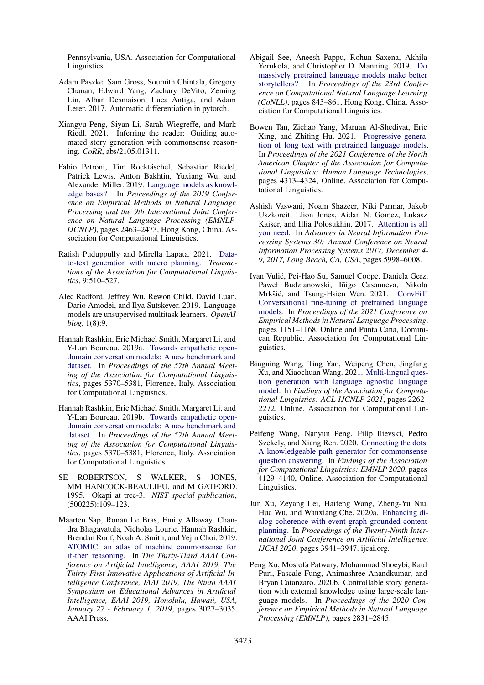Pennsylvania, USA. Association for Computational Linguistics.

- <span id="page-11-16"></span>Adam Paszke, Sam Gross, Soumith Chintala, Gregory Chanan, Edward Yang, Zachary DeVito, Zeming Lin, Alban Desmaison, Luca Antiga, and Adam Lerer. 2017. Automatic differentiation in pytorch.
- <span id="page-11-13"></span>Xiangyu Peng, Siyan Li, Sarah Wiegreffe, and Mark Riedl. 2021. Inferring the reader: Guiding automated story generation with commonsense reasoning. *CoRR*, abs/2105.01311.
- <span id="page-11-4"></span>Fabio Petroni, Tim Rocktäschel, Sebastian Riedel, Patrick Lewis, Anton Bakhtin, Yuxiang Wu, and Alexander Miller. 2019. [Language models as knowl](https://doi.org/10.18653/v1/D19-1250)[edge bases?](https://doi.org/10.18653/v1/D19-1250) In *Proceedings of the 2019 Conference on Empirical Methods in Natural Language Processing and the 9th International Joint Conference on Natural Language Processing (EMNLP-IJCNLP)*, pages 2463–2473, Hong Kong, China. Association for Computational Linguistics.
- <span id="page-11-11"></span>Ratish Puduppully and Mirella Lapata. 2021. [Data](https://doi.org/10.1162/tacl_a_00381)[to-text generation with macro planning.](https://doi.org/10.1162/tacl_a_00381) *Transactions of the Association for Computational Linguistics*, 9:510–527.
- <span id="page-11-0"></span>Alec Radford, Jeffrey Wu, Rewon Child, David Luan, Dario Amodei, and Ilya Sutskever. 2019. Language models are unsupervised multitask learners. *OpenAI blog*, 1(8):9.
- <span id="page-11-1"></span>Hannah Rashkin, Eric Michael Smith, Margaret Li, and Y-Lan Boureau. 2019a. [Towards empathetic open](https://doi.org/10.18653/v1/P19-1534)[domain conversation models: A new benchmark and](https://doi.org/10.18653/v1/P19-1534) [dataset.](https://doi.org/10.18653/v1/P19-1534) In *Proceedings of the 57th Annual Meeting of the Association for Computational Linguistics*, pages 5370–5381, Florence, Italy. Association for Computational Linguistics.
- <span id="page-11-5"></span>Hannah Rashkin, Eric Michael Smith, Margaret Li, and Y-Lan Boureau. 2019b. [Towards empathetic open](https://doi.org/10.18653/v1/P19-1534)[domain conversation models: A new benchmark and](https://doi.org/10.18653/v1/P19-1534) [dataset.](https://doi.org/10.18653/v1/P19-1534) In *Proceedings of the 57th Annual Meeting of the Association for Computational Linguistics*, pages 5370–5381, Florence, Italy. Association for Computational Linguistics.
- <span id="page-11-7"></span>SE ROBERTSON, S WALKER, S JONES, MM HANCOCK-BEAULIEU, and M GATFORD. 1995. Okapi at trec-3. *NIST special publication*, (500225):109–123.
- <span id="page-11-3"></span>Maarten Sap, Ronan Le Bras, Emily Allaway, Chandra Bhagavatula, Nicholas Lourie, Hannah Rashkin, Brendan Roof, Noah A. Smith, and Yejin Choi. 2019. [ATOMIC: an atlas of machine commonsense for](https://doi.org/10.1609/aaai.v33i01.33013027) [if-then reasoning.](https://doi.org/10.1609/aaai.v33i01.33013027) In *The Thirty-Third AAAI Conference on Artificial Intelligence, AAAI 2019, The Thirty-First Innovative Applications of Artificial Intelligence Conference, IAAI 2019, The Ninth AAAI Symposium on Educational Advances in Artificial Intelligence, EAAI 2019, Honolulu, Hawaii, USA, January 27 - February 1, 2019*, pages 3027–3035. AAAI Press.
- <span id="page-11-8"></span>Abigail See, Aneesh Pappu, Rohun Saxena, Akhila Yerukola, and Christopher D. Manning. 2019. [Do](https://doi.org/10.18653/v1/K19-1079) [massively pretrained language models make better](https://doi.org/10.18653/v1/K19-1079) [storytellers?](https://doi.org/10.18653/v1/K19-1079) In *Proceedings of the 23rd Conference on Computational Natural Language Learning (CoNLL)*, pages 843–861, Hong Kong, China. Association for Computational Linguistics.
- <span id="page-11-2"></span>Bowen Tan, Zichao Yang, Maruan Al-Shedivat, Eric Xing, and Zhiting Hu. 2021. [Progressive genera](https://doi.org/10.18653/v1/2021.naacl-main.341)[tion of long text with pretrained language models.](https://doi.org/10.18653/v1/2021.naacl-main.341) In *Proceedings of the 2021 Conference of the North American Chapter of the Association for Computational Linguistics: Human Language Technologies*, pages 4313–4324, Online. Association for Computational Linguistics.
- <span id="page-11-6"></span>Ashish Vaswani, Noam Shazeer, Niki Parmar, Jakob Uszkoreit, Llion Jones, Aidan N. Gomez, Lukasz Kaiser, and Illia Polosukhin. 2017. [Attention is all](https://proceedings.neurips.cc/paper/2017/hash/3f5ee243547dee91fbd053c1c4a845aa-Abstract.html) [you need.](https://proceedings.neurips.cc/paper/2017/hash/3f5ee243547dee91fbd053c1c4a845aa-Abstract.html) In *Advances in Neural Information Processing Systems 30: Annual Conference on Neural Information Processing Systems 2017, December 4- 9, 2017, Long Beach, CA, USA*, pages 5998–6008.
- <span id="page-11-9"></span>Ivan Vulic, Pei-Hao Su, Samuel Coope, Daniela Gerz, ´ Paweł Budzianowski, Iñigo Casanueva, Nikola Mrkšić, and Tsung-Hsien Wen. 2021. [ConvFiT:](https://doi.org/10.18653/v1/2021.emnlp-main.88) [Conversational fine-tuning of pretrained language](https://doi.org/10.18653/v1/2021.emnlp-main.88) [models.](https://doi.org/10.18653/v1/2021.emnlp-main.88) In *Proceedings of the 2021 Conference on Empirical Methods in Natural Language Processing*, pages 1151–1168, Online and Punta Cana, Dominican Republic. Association for Computational Linguistics.
- <span id="page-11-10"></span>Bingning Wang, Ting Yao, Weipeng Chen, Jingfang Xu, and Xiaochuan Wang. 2021. [Multi-lingual ques](https://doi.org/10.18653/v1/2021.findings-acl.199)[tion generation with language agnostic language](https://doi.org/10.18653/v1/2021.findings-acl.199) [model.](https://doi.org/10.18653/v1/2021.findings-acl.199) In *Findings of the Association for Computational Linguistics: ACL-IJCNLP 2021*, pages 2262– 2272, Online. Association for Computational Linguistics.
- <span id="page-11-15"></span>Peifeng Wang, Nanyun Peng, Filip Ilievski, Pedro Szekely, and Xiang Ren. 2020. [Connecting the dots:](https://doi.org/10.18653/v1/2020.findings-emnlp.369) [A knowledgeable path generator for commonsense](https://doi.org/10.18653/v1/2020.findings-emnlp.369) [question answering.](https://doi.org/10.18653/v1/2020.findings-emnlp.369) In *Findings of the Association for Computational Linguistics: EMNLP 2020*, pages 4129–4140, Online. Association for Computational Linguistics.
- <span id="page-11-12"></span>Jun Xu, Zeyang Lei, Haifeng Wang, Zheng-Yu Niu, Hua Wu, and Wanxiang Che. 2020a. [Enhancing di](https://doi.org/10.24963/ijcai.2020/545)[alog coherence with event graph grounded content](https://doi.org/10.24963/ijcai.2020/545) [planning.](https://doi.org/10.24963/ijcai.2020/545) In *Proceedings of the Twenty-Ninth International Joint Conference on Artificial Intelligence, IJCAI 2020*, pages 3941–3947. ijcai.org.
- <span id="page-11-14"></span>Peng Xu, Mostofa Patwary, Mohammad Shoeybi, Raul Puri, Pascale Fung, Animashree Anandkumar, and Bryan Catanzaro. 2020b. Controllable story generation with external knowledge using large-scale language models. In *Proceedings of the 2020 Conference on Empirical Methods in Natural Language Processing (EMNLP)*, pages 2831–2845.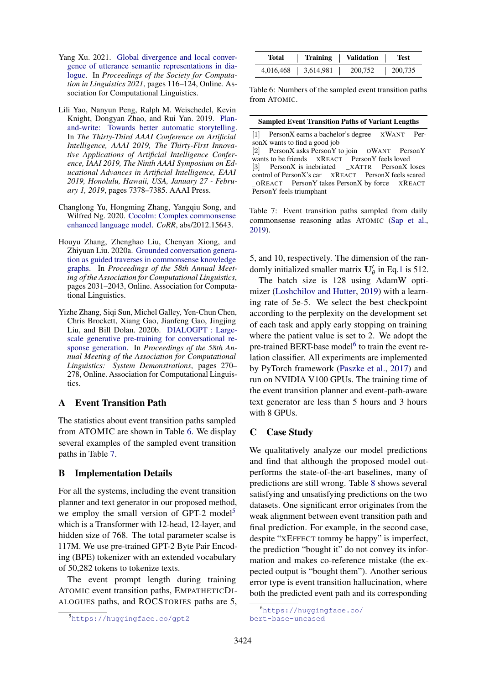- <span id="page-12-1"></span>Yang Xu. 2021. [Global divergence and local conver](https://aclanthology.org/2021.scil-1.11)[gence of utterance semantic representations in dia](https://aclanthology.org/2021.scil-1.11)[logue.](https://aclanthology.org/2021.scil-1.11) In *Proceedings of the Society for Computation in Linguistics 2021*, pages 116–124, Online. Association for Computational Linguistics.
- <span id="page-12-7"></span>Lili Yao, Nanyun Peng, Ralph M. Weischedel, Kevin Knight, Dongyan Zhao, and Rui Yan. 2019. [Plan](https://doi.org/10.1609/aaai.v33i01.33017378)[and-write: Towards better automatic storytelling.](https://doi.org/10.1609/aaai.v33i01.33017378) In *The Thirty-Third AAAI Conference on Artificial Intelligence, AAAI 2019, The Thirty-First Innovative Applications of Artificial Intelligence Conference, IAAI 2019, The Ninth AAAI Symposium on Educational Advances in Artificial Intelligence, EAAI 2019, Honolulu, Hawaii, USA, January 27 - February 1, 2019*, pages 7378–7385. AAAI Press.
- <span id="page-12-8"></span>Changlong Yu, Hongming Zhang, Yangqiu Song, and Wilfred Ng. 2020. [Cocolm: Complex commonsense](http://arxiv.org/abs/2012.15643) [enhanced language model.](http://arxiv.org/abs/2012.15643) *CoRR*, abs/2012.15643.
- <span id="page-12-9"></span>Houyu Zhang, Zhenghao Liu, Chenyan Xiong, and Zhiyuan Liu. 2020a. [Grounded conversation genera](https://doi.org/10.18653/v1/2020.acl-main.184)[tion as guided traverses in commonsense knowledge](https://doi.org/10.18653/v1/2020.acl-main.184) [graphs.](https://doi.org/10.18653/v1/2020.acl-main.184) In *Proceedings of the 58th Annual Meeting of the Association for Computational Linguistics*, pages 2031–2043, Online. Association for Computational Linguistics.
- <span id="page-12-0"></span>Yizhe Zhang, Siqi Sun, Michel Galley, Yen-Chun Chen, Chris Brockett, Xiang Gao, Jianfeng Gao, Jingjing Liu, and Bill Dolan. 2020b. [DIALOGPT : Large](https://doi.org/10.18653/v1/2020.acl-demos.30)[scale generative pre-training for conversational re](https://doi.org/10.18653/v1/2020.acl-demos.30)[sponse generation.](https://doi.org/10.18653/v1/2020.acl-demos.30) In *Proceedings of the 58th Annual Meeting of the Association for Computational Linguistics: System Demonstrations*, pages 270– 278, Online. Association for Computational Linguistics.

# <span id="page-12-3"></span>A Event Transition Path

The statistics about event transition paths sampled from ATOMIC are shown in Table [6.](#page-12-2) We display several examples of the sampled event transition paths in Table [7.](#page-12-4)

# <span id="page-12-5"></span>B Implementation Details

For all the systems, including the event transition planner and text generator in our proposed method, we employ the small version of GPT-2 model<sup>[5](#page-12-10)</sup> which is a Transformer with 12-head, 12-layer, and hidden size of 768. The total parameter scalse is 117M. We use pre-trained GPT-2 Byte Pair Encoding (BPE) tokenizer with an extended vocabulary of 50,282 tokens to tokenize texts.

The event prompt length during training ATOMIC event transition paths, EMPATHETICDI-ALOGUES paths, and ROCSTORIES paths are 5,

<span id="page-12-2"></span>

| Total     | Training  | Validation | Test    |
|-----------|-----------|------------|---------|
| 4,016,468 | 3,614,981 | 200,752    | 200,735 |

Table 6: Numbers of the sampled event transition paths from ATOMIC.

<span id="page-12-4"></span>

| <b>Sampled Event Transition Paths of Variant Lengths</b> |  |  |  |  |  |  |
|----------------------------------------------------------|--|--|--|--|--|--|
| [1] PersonX earns a bachelor's degree XWANT Per-         |  |  |  |  |  |  |
| sonX wants to find a good job                            |  |  |  |  |  |  |
| [2] PersonX asks PersonY to join OWANT PersonY           |  |  |  |  |  |  |
| wants to be friends XREACT PersonY feels loved           |  |  |  |  |  |  |
| [3] PersonX is inebriated _XATTR PersonX loses           |  |  |  |  |  |  |
| control of PersonX's car XREACT PersonX feels scared     |  |  |  |  |  |  |
| OREACT PersonY takes PersonX by force XREACT             |  |  |  |  |  |  |
| PersonY feels triumphant                                 |  |  |  |  |  |  |
|                                                          |  |  |  |  |  |  |

Table 7: Event transition paths sampled from daily commonsense reasoning atlas ATOMIC [\(Sap et al.,](#page-11-3) [2019\)](#page-11-3).

5, and 10, respectively. The dimension of the randomly initialized smaller matrix  $U'_{\theta}$  in Eq[.1](#page-3-1) is 512.

The batch size is 128 using AdamW optimizer [\(Loshchilov and Hutter,](#page-10-17) [2019\)](#page-10-17) with a learning rate of 5e-5. We select the best checkpoint according to the perplexity on the development set of each task and apply early stopping on training where the patient value is set to 2. We adopt the pre-trained BERT-base model<sup>[6](#page-12-11)</sup> to train the event relation classifier. All experiments are implemented by PyTorch framework [\(Paszke et al.,](#page-11-16) [2017\)](#page-11-16) and run on NVIDIA V100 GPUs. The training time of the event transition planner and event-path-aware text generator are less than 5 hours and 3 hours with 8 GPUs.

# <span id="page-12-6"></span>C Case Study

We qualitatively analyze our model predictions and find that although the proposed model outperforms the state-of-the-art baselines, many of predictions are still wrong. Table [8](#page-14-0) shows several satisfying and unsatisfying predictions on the two datasets. One significant error originates from the weak alignment between event transition path and final prediction. For example, in the second case, despite "XEFFECT tommy be happy" is imperfect, the prediction "bought it" do not convey its information and makes co-reference mistake (the expected output is "bought them"). Another serious error type is event transition hallucination, where both the predicted event path and its corresponding

<span id="page-12-10"></span><sup>5</sup><https://huggingface.co/gpt2>

<span id="page-12-11"></span><sup>6</sup>[https://huggingface.co/](https://huggingface.co/bert-base-uncased) [bert-base-uncased](https://huggingface.co/bert-base-uncased)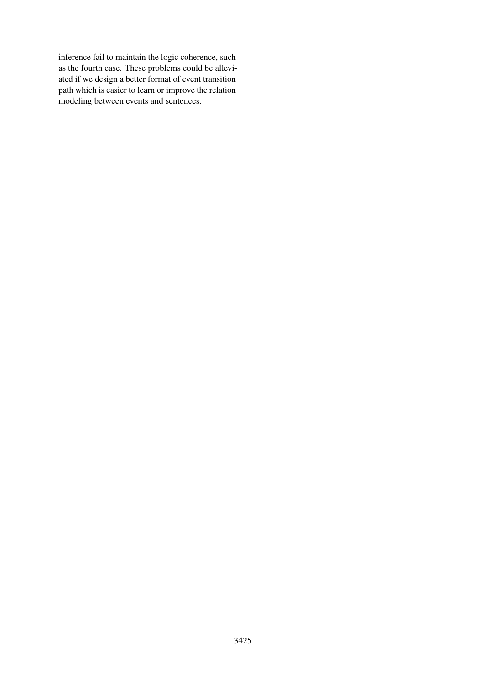inference fail to maintain the logic coherence, such as the fourth case. These problems could be alleviated if we design a better format of event transition path which is easier to learn or improve the relation modeling between events and sentences.